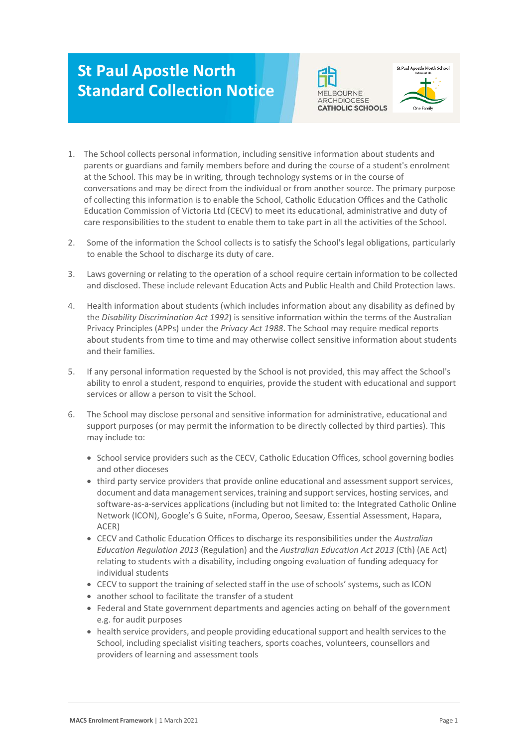## **St Paul Apostle North Standard Collection Notice**





- 1. The School collects personal information, including sensitive information about students and parents or guardians and family members before and during the course of a student's enrolment at the School. This may be in writing, through technology systems or in the course of conversations and may be direct from the individual or from another source. The primary purpose of collecting this information is to enable the School, Catholic Education Offices and the Catholic Education Commission of Victoria Ltd (CECV) to meet its educational, administrative and duty of care responsibilities to the student to enable them to take part in all the activities of the School.
- 2. Some of the information the School collects is to satisfy the School's legal obligations, particularly to enable the School to discharge its duty of care.
- 3. Laws governing or relating to the operation of a school require certain information to be collected and disclosed. These include relevant Education Acts and Public Health and Child Protection laws.
- 4. Health information about students (which includes information about any disability as defined by the *Disability Discrimination Act 1992*) is sensitive information within the terms of the Australian Privacy Principles (APPs) under the *Privacy Act 1988*. The School may require medical reports about students from time to time and may otherwise collect sensitive information about students and their families.
- 5. If any personal information requested by the School is not provided, this may affect the School's ability to enrol a student, respond to enquiries, provide the student with educational and support services or allow a person to visit the School.
- 6. The School may disclose personal and sensitive information for administrative, educational and support purposes (or may permit the information to be directly collected by third parties). This may include to:
	- School service providers such as the CECV, Catholic Education Offices, school governing bodies and other dioceses
	- third party service providers that provide online educational and assessment support services, document and data management services, training and support services, hosting services, and software-as-a-services applications (including but not limited to: the Integrated Catholic Online Network (ICON), Google's G Suite, nForma, Operoo, Seesaw, Essential Assessment, Hapara, ACER)
	- CECV and Catholic Education Offices to discharge its responsibilities under the *Australian Education Regulation 2013* (Regulation) and the *Australian Education Act 2013* (Cth) (AE Act) relating to students with a disability, including ongoing evaluation of funding adequacy for individual students
	- CECV to support the training of selected staff in the use of schools' systems, such as ICON
	- another school to facilitate the transfer of a student
	- Federal and State government departments and agencies acting on behalf of the government e.g. for audit purposes
	- health service providers, and people providing educational support and health services to the School, including specialist visiting teachers, sports coaches, volunteers, counsellors and providers of learning and assessment tools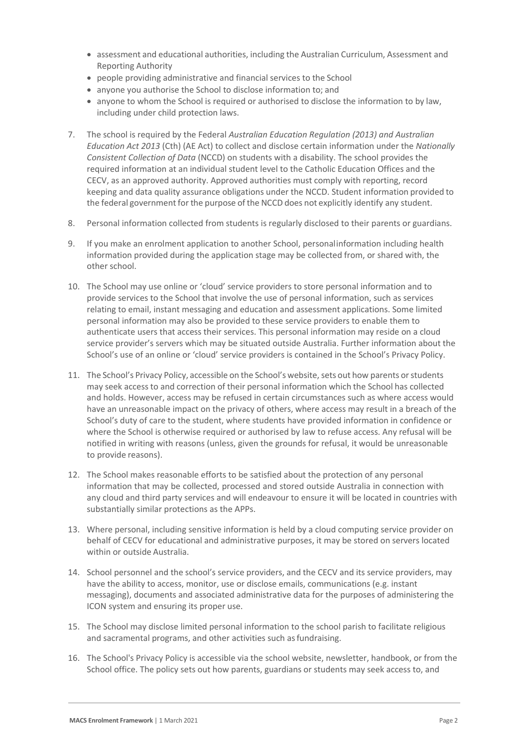- assessment and educational authorities, including the Australian Curriculum, Assessment and Reporting Authority
- people providing administrative and financial services to the School
- anyone you authorise the School to disclose information to; and
- anyone to whom the School is required or authorised to disclose the information to by law, including under child protection laws.
- 7. The school is required by the Federal *Australian Education Regulation (2013) and Australian Education Act 2013* (Cth) (AE Act) to collect and disclose certain information under the *Nationally Consistent Collection of Data* (NCCD) on students with a disability. The school provides the required information at an individual student level to the Catholic Education Offices and the CECV, as an approved authority. Approved authorities must comply with reporting, record keeping and data quality assurance obligations under the NCCD. Student information provided to the federal government for the purpose of the NCCD does not explicitly identify any student.
- 8. Personal information collected from students is regularly disclosed to their parents or guardians.
- 9. If you make an enrolment application to another School, personalinformation including health information provided during the application stage may be collected from, or shared with, the other school.
- 10. The School may use online or 'cloud' service providers to store personal information and to provide services to the School that involve the use of personal information, such as services relating to email, instant messaging and education and assessment applications. Some limited personal information may also be provided to these service providers to enable them to authenticate users that access their services. This personal information may reside on a cloud service provider's servers which may be situated outside Australia. Further information about the School's use of an online or 'cloud' service providers is contained in the School's Privacy Policy.
- 11. The School's Privacy Policy, accessible on the School's website, sets out how parents or students may seek access to and correction of their personal information which the School has collected and holds. However, access may be refused in certain circumstances such as where access would have an unreasonable impact on the privacy of others, where access may result in a breach of the School's duty of care to the student, where students have provided information in confidence or where the School is otherwise required or authorised by law to refuse access. Any refusal will be notified in writing with reasons (unless, given the grounds for refusal, it would be unreasonable to provide reasons).
- 12. The School makes reasonable efforts to be satisfied about the protection of any personal information that may be collected, processed and stored outside Australia in connection with any cloud and third party services and will endeavour to ensure it will be located in countries with substantially similar protections as the APPs.
- 13. Where personal, including sensitive information is held by a cloud computing service provider on behalf of CECV for educational and administrative purposes, it may be stored on servers located within or outside Australia.
- 14. School personnel and the school's service providers, and the CECV and its service providers, may have the ability to access, monitor, use or disclose emails, communications (e.g. instant messaging), documents and associated administrative data for the purposes of administering the ICON system and ensuring its proper use.
- 15. The School may disclose limited personal information to the school parish to facilitate religious and sacramental programs, and other activities such as fundraising.
- 16. The School's Privacy Policy is accessible via the school website, newsletter, handbook, or from the School office. The policy sets out how parents, guardians or students may seek access to, and